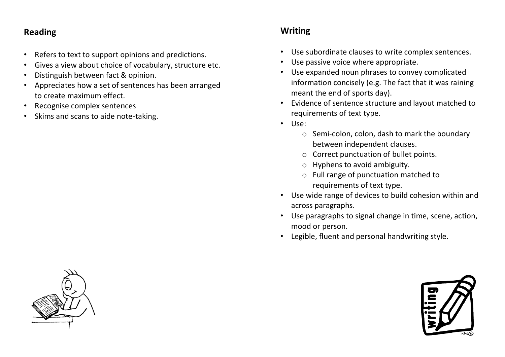#### **Reading**

- Refers to text to support opinions and predictions.
- Gives a view about choice of vocabulary, structure etc.
- Distinguish between fact & opinion.
- Appreciates how a set of sentences has been arranged to create maximum effect.
- Recognise complex sentences
- Skims and scans to aide note-taking.

### **Writing**

- Use subordinate clauses to write complex sentences.
- Use passive voice where appropriate.
- Use expanded noun phrases to convey complicated information concisely (e.g. The fact that it was raining meant the end of sports day).
- Evidence of sentence structure and layout matched to requirements of text type.
- Use:
	- o Semi-colon, colon, dash to mark the boundary between independent clauses.
	- o Correct punctuation of bullet points.
	- o Hyphens to avoid ambiguity.
	- o Full range of punctuation matched to requirements of text type.
- Use wide range of devices to build cohesion within and across paragraphs.
- Use paragraphs to signal change in time, scene, action, mood or person.
- Legible, fluent and personal handwriting style.